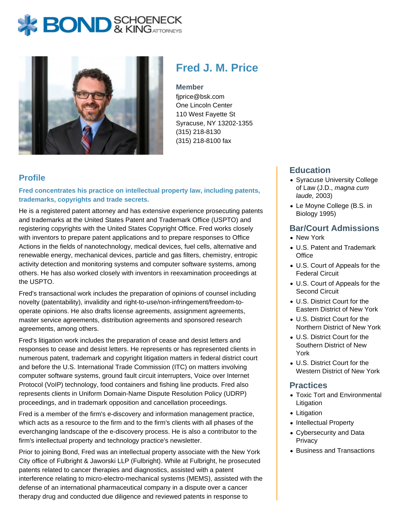# **BOND** & KING ATTORNECK



## **Fred J. M. Price**

#### **Member**

fjprice@bsk.com One Lincoln Center 110 West Fayette St Syracuse, NY 13202-1355 (315) 218-8130 (315) 218-8100 fax

#### **Profile**

**Fred concentrates his practice on intellectual property law, including patents, trademarks, copyrights and trade secrets.**

He is a registered patent attorney and has extensive experience prosecuting patents and trademarks at the United States Patent and Trademark Office (USPTO) and registering copyrights with the United States Copyright Office. Fred works closely with inventors to prepare patent applications and to prepare responses to Office Actions in the fields of nanotechnology, medical devices, fuel cells, alternative and renewable energy, mechanical devices, particle and gas filters, chemistry, entropic activity detection and monitoring systems and computer software systems, among others. He has also worked closely with inventors in reexamination proceedings at the USPTO.

Fred's transactional work includes the preparation of opinions of counsel including novelty (patentability), invalidity and right-to-use/non-infringement/freedom-tooperate opinions. He also drafts license agreements, assignment agreements, master service agreements, distribution agreements and sponsored research agreements, among others.

Fred's litigation work includes the preparation of cease and desist letters and responses to cease and desist letters. He represents or has represented clients in numerous patent, trademark and copyright litigation matters in federal district court and before the U.S. International Trade Commission (ITC) on matters involving computer software systems, ground fault circuit interrupters, Voice over Internet Protocol (VoIP) technology, food containers and fishing line products. Fred also represents clients in Uniform Domain-Name Dispute Resolution Policy (UDRP) proceedings, and in trademark opposition and cancellation proceedings.

Fred is a member of the firm's e-discovery and information management practice, which acts as a resource to the firm and to the firm's clients with all phases of the everchanging landscape of the e-discovery process. He is also a contributor to the firm's intellectual property and technology practice's newsletter.

Prior to joining Bond, Fred was an intellectual property associate with the New York City office of Fulbright & Jaworski LLP (Fulbright). While at Fulbright, he prosecuted patents related to cancer therapies and diagnostics, assisted with a patent interference relating to micro-electro-mechanical systems (MEMS), assisted with the defense of an international pharmaceutical company in a dispute over a cancer therapy drug and conducted due diligence and reviewed patents in response to

#### **Education**

- Syracuse University College of Law (J.D., magna cum laude, 2003)
- Le Moyne College (B.S. in Biology 1995)

#### **Bar/Court Admissions**

- New York
- U.S. Patent and Trademark **Office**
- U.S. Court of Appeals for the Federal Circuit
- U.S. Court of Appeals for the Second Circuit
- U.S. District Court for the Eastern District of New York
- U.S. District Court for the Northern District of New York
- U.S. District Court for the Southern District of New York
- U.S. District Court for the Western District of New York

#### **Practices**

- Toxic Tort and Environmental Litigation
- Litigation
- Intellectual Property
- Cybersecurity and Data **Privacy**
- Business and Transactions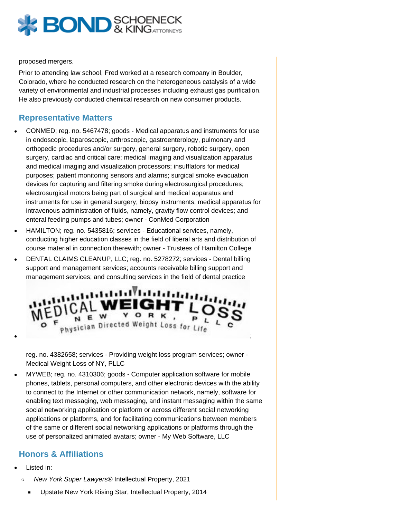

proposed mergers.

Prior to attending law school, Fred worked at a research company in Boulder, Colorado, where he conducted research on the heterogeneous catalysis of a wide variety of environmental and industrial processes including exhaust gas purification. He also previously conducted chemical research on new consumer products.

#### **Representative Matters**

- CONMED; reg. no. 5467478; goods Medical apparatus and instruments for use in endoscopic, laparoscopic, arthroscopic, gastroenterology, pulmonary and orthopedic procedures and/or surgery, general surgery, robotic surgery, open surgery, cardiac and critical care; medical imaging and visualization apparatus and medical imaging and visualization processors; insufflators for medical purposes; patient monitoring sensors and alarms; surgical smoke evacuation devices for capturing and filtering smoke during electrosurgical procedures; electrosurgical motors being part of surgical and medical apparatus and instruments for use in general surgery; biopsy instruments; medical apparatus for intravenous administration of fluids, namely, gravity flow control devices; and enteral feeding pumps and tubes; owner - ConMed Corporation
- HAMILTON; reg. no. 5435816; services Educational services, namely, conducting higher education classes in the field of liberal arts and distribution of course material in connection therewith; owner - Trustees of Hamilton College
- DENTAL CLAIMS CLEANUP, LLC; reg. no. 5278272; services Dental billing support and management services; accounts receivable billing support and management services; and consulting services in the field of dental practice



reg. no. 4382658; services - Providing weight loss program services; owner - Medical Weight Loss of NY, PLLC

MYWEB; reg. no. 4310306; goods - Computer application software for mobile phones, tablets, personal computers, and other electronic devices with the ability to connect to the Internet or other communication network, namely, software for enabling text messaging, web messaging, and instant messaging within the same social networking application or platform or across different social networking applications or platforms, and for facilitating communications between members of the same or different social networking applications or platforms through the use of personalized animated avatars; owner - My Web Software, LLC

### **Honors & Affiliations**

- Listed in:
	- $\circ$ New York Super Lawyers® Intellectual Property, 2021
		- Upstate New York Rising Star, Intellectual Property, 2014